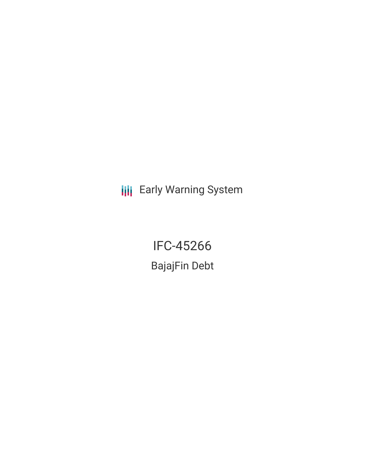**III** Early Warning System

IFC-45266 BajajFin Debt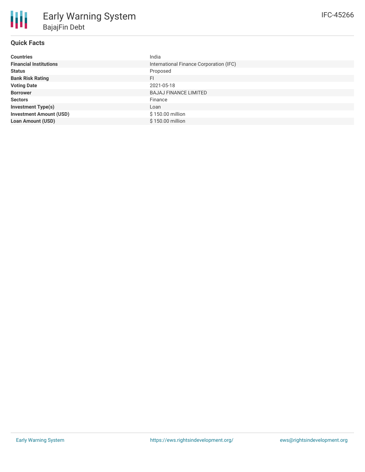| <b>Countries</b>               | India                                   |
|--------------------------------|-----------------------------------------|
| <b>Financial Institutions</b>  | International Finance Corporation (IFC) |
| <b>Status</b>                  | Proposed                                |
| <b>Bank Risk Rating</b>        | FI                                      |
| <b>Voting Date</b>             | 2021-05-18                              |
| <b>Borrower</b>                | <b>BAJAJ FINANCE LIMITED</b>            |
| <b>Sectors</b>                 | Finance                                 |
| <b>Investment Type(s)</b>      | Loan                                    |
| <b>Investment Amount (USD)</b> | \$150.00 million                        |
| <b>Loan Amount (USD)</b>       | $$150.00$ million                       |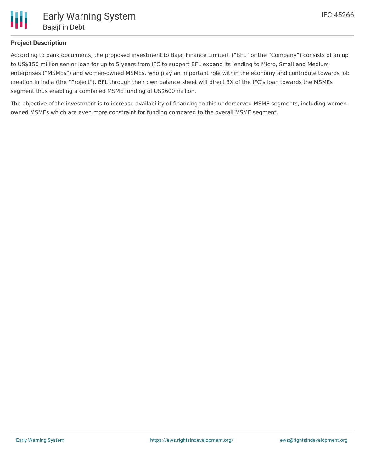

## **Project Description**

According to bank documents, the proposed investment to Bajaj Finance Limited. ("BFL" or the "Company") consists of an up to US\$150 million senior loan for up to 5 years from IFC to support BFL expand its lending to Micro, Small and Medium enterprises ("MSMEs") and women-owned MSMEs, who play an important role within the economy and contribute towards job creation in India (the "Project"). BFL through their own balance sheet will direct 3X of the IFC's loan towards the MSMEs segment thus enabling a combined MSME funding of US\$600 million.

The objective of the investment is to increase availability of financing to this underserved MSME segments, including womenowned MSMEs which are even more constraint for funding compared to the overall MSME segment.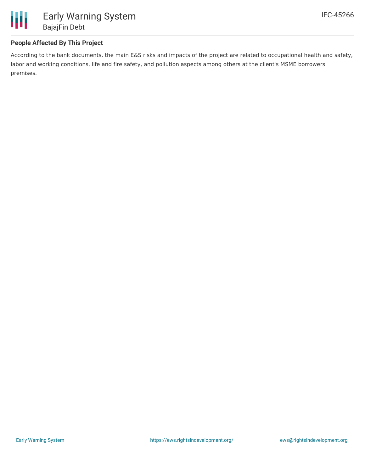

### **People Affected By This Project**

According to the bank documents, the main E&S risks and impacts of the project are related to occupational health and safety, labor and working conditions, life and fire safety, and pollution aspects among others at the client's MSME borrowers' premises.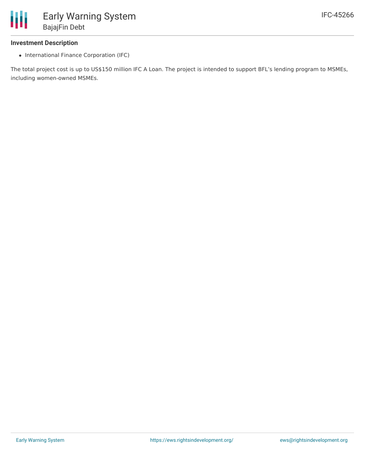

#### **Investment Description**

• International Finance Corporation (IFC)

The total project cost is up to US\$150 million IFC A Loan. The project is intended to support BFL's lending program to MSMEs, including women-owned MSMEs.